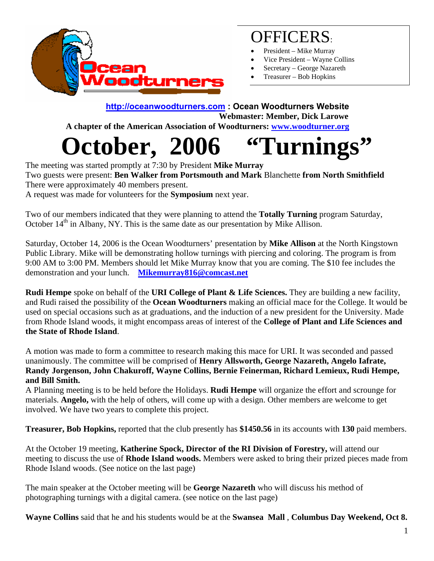

## OFFICERS:

- President Mike Murray
- Vice President Wayne Collins
- Secretary George Nazareth
- Treasurer Bob Hopkins

#### **http://oceanwoodturners.com : Ocean Woodturners Website Webmaster: Member, Dick Larowe**

 **A chapter of the American Association of Woodturners: www.woodturner.org** 

# **October, 2006 "Turnings**

The meeting was started promptly at 7:30 by President **Mike Murray**  Two guests were present: **Ben Walker from Portsmouth and Mark** Blanchette **from North Smithfield**  There were approximately 40 members present. A request was made for volunteers for the **Symposium** next year.

Two of our members indicated that they were planning to attend the **Totally Turning** program Saturday, October  $14<sup>th</sup>$  in Albany, NY. This is the same date as our presentation by Mike Allison.

Saturday, October 14, 2006 is the Ocean Woodturners' presentation by **Mike Allison** at the North Kingstown Public Library. Mike will be demonstrating hollow turnings with piercing and coloring. The program is from 9:00 AM to 3:00 PM. Members should let Mike Murray know that you are coming. The \$10 fee includes the demonstration and your lunch. **Mikemurray816@comcast.net** 

**Rudi Hempe** spoke on behalf of the **URI College of Plant & Life Sciences.** They are building a new facility, and Rudi raised the possibility of the **Ocean Woodturners** making an official mace for the College. It would be used on special occasions such as at graduations, and the induction of a new president for the University. Made from Rhode Island woods, it might encompass areas of interest of the **College of Plant and Life Sciences and the State of Rhode Island**.

A motion was made to form a committee to research making this mace for URI. It was seconded and passed unanimously. The committee will be comprised of **Henry Allsworth, George Nazareth, Angelo Iafrate, Randy Jorgenson, John Chakuroff, Wayne Collins, Bernie Feinerman, Richard Lemieux, Rudi Hempe, and Bill Smith.**

A Planning meeting is to be held before the Holidays. **Rudi Hempe** will organize the effort and scrounge for materials. **Angelo,** with the help of others, will come up with a design. Other members are welcome to get involved. We have two years to complete this project.

**Treasurer, Bob Hopkins,** reported that the club presently has **\$1450.56** in its accounts with **130** paid members.

At the October 19 meeting, **Katherine Spock, Director of the RI Division of Forestry,** will attend our meeting to discuss the use of **Rhode Island woods.** Members were asked to bring their prized pieces made from Rhode Island woods. (See notice on the last page)

The main speaker at the October meeting will be **George Nazareth** who will discuss his method of photographing turnings with a digital camera. (see notice on the last page)

**Wayne Collins** said that he and his students would be at the **Swansea Mall** , **Columbus Day Weekend, Oct 8.**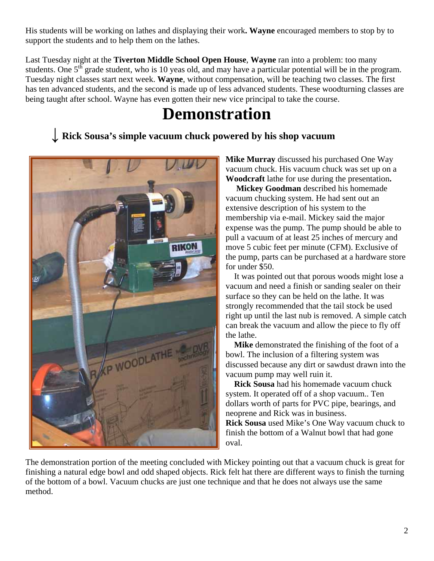His students will be working on lathes and displaying their work**. Wayne** encouraged members to stop by to support the students and to help them on the lathes.

Last Tuesday night at the **Tiverton Middle School Open House**, **Wayne** ran into a problem: too many students. One 5<sup>th</sup> grade student, who is 10 yeas old, and may have a particular potential will be in the program. Tuesday night classes start next week. **Wayne**, without compensation, will be teaching two classes. The first has ten advanced students, and the second is made up of less advanced students. These woodturning classes are being taught after school. Wayne has even gotten their new vice principal to take the course.

## **Demonstration**

### **↓ Rick Sousa's simple vacuum chuck powered by his shop vacuum**



**Mike Murray** discussed his purchased One Way vacuum chuck. His vacuum chuck was set up on a **Woodcraft** lathe for use during the presentation**.**

the pump, parts can be purchased at a hardware store  **Mickey Goodman** described his homemade vacuum chucking system. He had sent out an extensive description of his system to the membership via e-mail. Mickey said the major expense was the pump. The pump should be able to pull a vacuum of at least 25 inches of mercury and move 5 cubic feet per minute (CFM). Exclusive of for under \$50.

vacuum and need a finish or sanding sealer on their right up until the last nub is removed. A simple catch can break the vacuum and allow the piece to fly off It was pointed out that porous woods might lose a surface so they can be held on the lathe. It was strongly recommended that the tail stock be used the lathe.

**Mike** demonstrated the finishing of the foot of a discussed because any dirt or sawdust drawn into the bowl. The inclusion of a filtering system was vacuum pump may well ruin it.

dollars worth of parts for PVC pipe, bearings, and Rick Sousa used Mike's One Way vacuum chuck to finish the bottom of a Walnut bowl that had gone **Rick Sousa** had his homemade vacuum chuck system. It operated off of a shop vacuum.. Ten neoprene and Rick was in business. oval.

finishing a natural edge bowl and odd shaped objects. Rick felt hat there are different ways to finish the turning of the bottom of a bowl. Vacuum chucks are just one technique and that he does not always use the same method. The demonstration portion of the meeting concluded with Mickey pointing out that a vacuum chuck is great for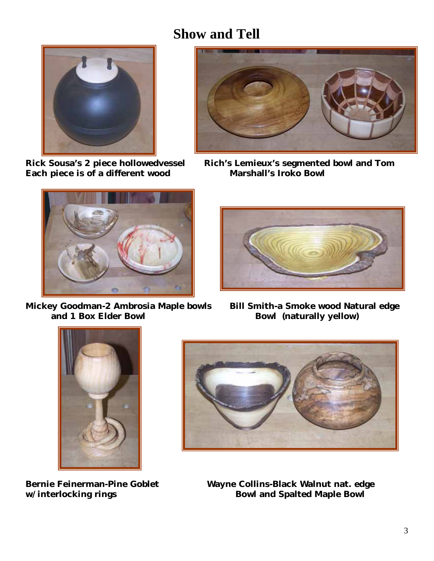## **Show and Tell**



**Each piece is of a different wood Marshall's Iroko Bowl** 



**Mickey Goodman-2 Ambrosia Maple bowls Bill Smith-a Smoke wood Natural edge<br>and 1 Box Elder Bowl (naturally vellow)** 



**Rick Sousa's 2 piece hollowedvessel Rich's Lemieux's segmented bowl and Tom** 



**Bowl** (naturally yellow)





**Bernie Feinerman-Pine Goblet Wayne Collins-Black Walnut nat. edge**  w/interlocking rings **Bowl** and Spalted Maple Bowl